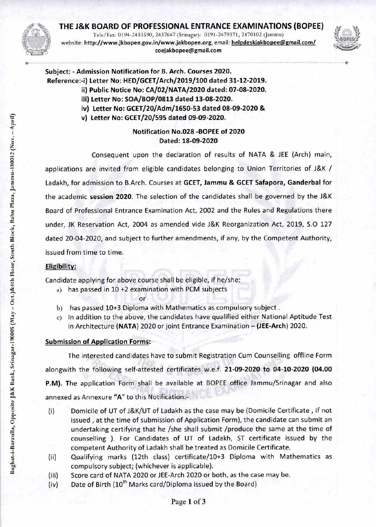# **THE J&K BOARD OF PROFESSIONAL ENTRANCE EXAMINATIONS (BOPEE)**

Tele/Fax: 0194-2433590, 2437647 (Srinagar): 0191-2479371, 2470102 (Jammu) website: **http://www.jkbopee.gov.in/www.jakbopee.org,** email: **helpdeskjakbopee@gmail.com/ coejakbopee@gmail.com** 



**Subject: - Admission Notification for B. Arch. Courses 2020. Reference:-i) Letter No: HED/GCET/Arch/2019/100 dated 31-12-2019. ii) Public Notice No: CA/02/NATA/2020 dated: 07-08-2020.** 

- **iii) Letter No: SOA/BOP/0813 dated 13-08-2020. iv) Letter No: GCET/20/Adm/1650-53 dated 08-09-2020 &**
- **v) Letter No: GCET/20/595 dated 09-09-2020.**

## **Notification No.028 -BOPEE of 2020 Dated: 18-09-2020**

Consequent upon the declaration of results of NATA & JEE (Arch) main, applications are invited from eligible candidates belonging to Union Territories of J&K / Ladakh, for admission to B.Arch. Courses at **GCET, Jammu & GCET Safapora, Ganderbal** for the academic **session 2020.** The selection of the candidates shall be governed by the J&K Board of Professional Entrance Examination Act, 2002 and the Rules and Regulations there under, JK Reservation Act, 2004 as amended vide J&K Reorganization Act, 2019, 5.0 127 dated 20-04-2020, and subject to further amendments, if any, by the Competent Authority, issued from time to time.

## **Eligibility:**

Candidate applying for above course shall be eligible, if he/she:

- a) has passed in 10 +2 examination with PCM subjects
	- or
- b) has passed 10+3 Diploma with Mathematics as compulsory subject .
- c) In addition to the above, the candidates have qualified either National Aptitude Test in Architecture (NATA) 2020 or joint Entrance Examination — **(JEE-Arch)** 2020.

## **Submission of Application Forms:**

The interested candidates have to submit Registration Cum Counselling offline Form alongwith the following self-attested certificates w.e.f. **21-09-2020 to 04-10-2020 (04.00 P.M).** The application Form shall be available at BOPEE office Jammu/Srinagar and also annexed as Annexure **"A"** to this Notification:-

- (i) Domicile of UT of J&K/UT of Ladakh as the case may be (Domicile Certificate, if not issued , at the time of submission of Application Form), the candidate can submit an undertaking certifying that he /she shall submit /produce the same at the time of counselling ). For Candidates of UT of Ladakh, ST certificate issued by the competent Authority of Ladakh shall be treated as Domicile Certificate.
- (ii) Qualifying marks (12th class) certificate/10+3 Diploma with Mathematics as compulsory subject; (whichever is applicable).
- (iii) Score card of NATA 2020 or JEE-Arch 2020 or both, as the case may be.
- (iv) Date of Birth  $(10^{th}$  Marks card/Diploma issued by the Board)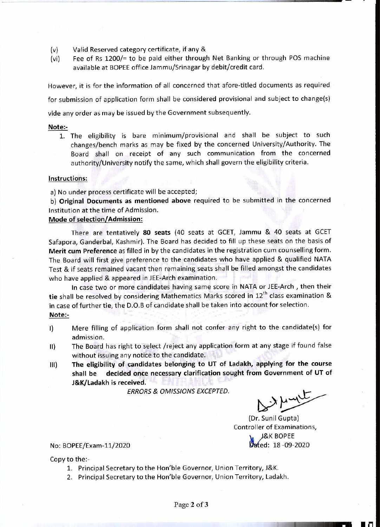- (v) Valid Reserved category certificate, if any &
- (vi) Fee of Rs 1200/= to be paid either through Net Banking or through POS machine available at BOPEE office Jammu/Srinagar by debit/credit card.

However, it is for the information of all concerned that afore-titled documents as required

for submission of application form shall be considered provisional and subject to change(s)

vide any order as may be issued by the Government subsequently.

#### **Note:-**

**1.** The eligibility is bare minimum/provisional and shall be subject to such changes/bench marks as may be fixed by the concerned University/Authority. The Board shall on receipt of any such communication from the concerned authority/University notify the same, which shall govern the eligibility criteria.

#### **Instructions:**

a) No under process certificate will be accepted;

**b) Original Documents as mentioned above** required to be submitted in the concerned Institution at the time of Admission.

### **Mode of selection/Admission:**

There are tentatively **80 seats** (40 seats at GCET, Jammu & 40 seats at GCET Safapora, Ganderbal, Kashmir). The Board has decided to fill up these seats on the basis of **Merit cum Preference** as filled in by the candidates in the registration cum counselling form. The Board will first give preference to the candidates who have applied & qualified NATA Test & if seats remained vacant then remaining seats shall be filled amongst the candidates who have applied & appeared in JEE-Arch examination.

In case two or more candidates having same score in NATA or JEE-Arch , then their tie shall be resolved by considering Mathematics Marks scored in 12<sup>th</sup> class examination & in case of further **tie,** the D.O.B of candidate shall be taken into account for selection. **Note:-** 

- I) Mere filling of application form shall not confer any right to the candidate(s) for admission.
- II) The Board has right to select /reject any application form at any stage if found false without issuing any notice to the candidate.
- **III) The eligibility of candidates belonging to UT of Ladakh, applying for the course shall be decided once necessary clarification sought from Government of UT of J&K/Ladakh is received.**

*ERRORS & OMISSIONS EXCEPTED.* 

*L(\*)* 

(Dr. Sunil Gupta) Controller of Examinations, K BOPEE No: BOPEE/Exam-11/2020<br>Box BOPEE/Exam-11/2020

Copy to the:-

- 1. Principal Secretary to the Hon'ble Governor, Union Territory, J&K.
- 2. Principal Secretary to the Hon'ble Governor, Union Territory, Ladakh.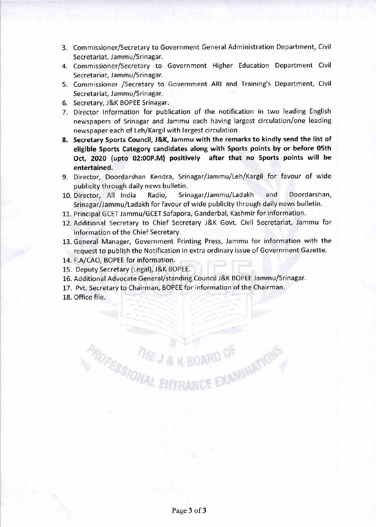- 3. Commissioner/Secretary to Government General Administration Department, Civil Secretariat, Jammu/Srinagar.
- 4. Commissioner/Secretary to Government Higher Education Department Civil Secretariat, Jammu/Srinagar.
- 5. Commissioner /Secretary to Government ARI and Training's Department, Civil Secretariat, Jammu/Srinagar.
- 6. Secretary, J&K BOPEE Srinagar.
- 7. Director Information for publication of the notification in two leading English newspapers of Srinagar and Jammu each having largest circulation/one leading newspaper each of Leh/Kargil with largest circulation
- **8. Secretary Sports Council, J&K, Jammu with the remarks to kindly send the list of eligible Sports Category candidates along with Sports points by or before 05th Oct, 2020 (upto 02:OOP.M) positively after that no Sports points will be entertained.**
- 9. Director, Doordarshan Kendra, Srinagar/Jammu/Leh/Kargil for favour of wide publicity through daily news bulletin.
- 10. Director, All India Radio, Srinagar/Jammu/Ladakh and Doordarshan, Srinagar/Jammu/Ladakh for favour of wide publicity through daily news bulletin.
- 11. Principal GCET Jammu/GCET Safapora, Ganderbal, Kashmir for information.
- 12. Additional Secretary to Chief Secretary J&K Govt. Civil Secretariat, Jammu for information of the Chief Secretary.
- 13. General Manager, Government Printing Press, Jammu for information with the request to publish the Notification in extra ordinary issue of Government Gazette.
- 14. F.A/CAO, BOPEE for information.
- 15. Deputy Secretary (Legal), J&K BOPEE.
- 16. Additional Advocate General/standing Council J&K BOPEE Jammu/Srinagar.

**PORCHOMAL ENTRANCE EXAMINATION** 

- 17. Pvt. Secretary to Chairman, BOPEE for information of the Chairman.
- 18. Office file.